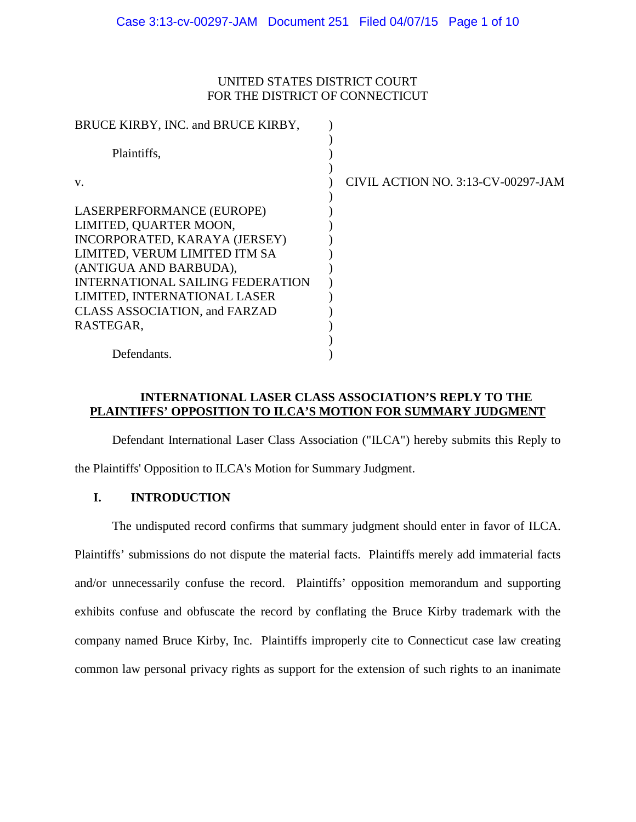# UNITED STATES DISTRICT COURT FOR THE DISTRICT OF CONNECTICUT

| CIVIL ACTION NO. 3:13-CV-00297-JAM |
|------------------------------------|
|                                    |
|                                    |
|                                    |
|                                    |
|                                    |
|                                    |
|                                    |
|                                    |
|                                    |
|                                    |
|                                    |
|                                    |

# **INTERNATIONAL LASER CLASS ASSOCIATION'S REPLY TO THE PLAINTIFFS' OPPOSITION TO ILCA'S MOTION FOR SUMMARY JUDGMENT**

Defendant International Laser Class Association ("ILCA") hereby submits this Reply to the Plaintiffs' Opposition to ILCA's Motion for Summary Judgment.

## **I. INTRODUCTION**

The undisputed record confirms that summary judgment should enter in favor of ILCA. Plaintiffs' submissions do not dispute the material facts. Plaintiffs merely add immaterial facts and/or unnecessarily confuse the record. Plaintiffs' opposition memorandum and supporting exhibits confuse and obfuscate the record by conflating the Bruce Kirby trademark with the company named Bruce Kirby, Inc. Plaintiffs improperly cite to Connecticut case law creating common law personal privacy rights as support for the extension of such rights to an inanimate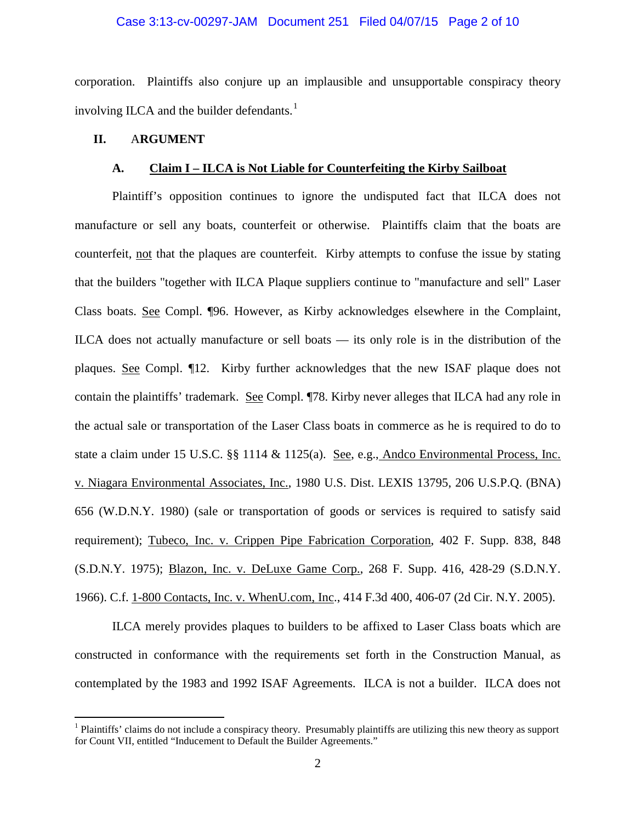#### Case 3:13-cv-00297-JAM Document 251 Filed 04/07/15 Page 2 of 10

corporation. Plaintiffs also conjure up an implausible and unsupportable conspiracy theory involving ILCA and the builder defendants. $<sup>1</sup>$  $<sup>1</sup>$  $<sup>1</sup>$ </sup>

## **II.** A**RGUMENT**

#### **A. Claim I – ILCA is Not Liable for Counterfeiting the Kirby Sailboat**

Plaintiff's opposition continues to ignore the undisputed fact that ILCA does not manufacture or sell any boats, counterfeit or otherwise. Plaintiffs claim that the boats are counterfeit, not that the plaques are counterfeit. Kirby attempts to confuse the issue by stating that the builders "together with ILCA Plaque suppliers continue to "manufacture and sell" Laser Class boats. See Compl. ¶96. However, as Kirby acknowledges elsewhere in the Complaint, ILCA does not actually manufacture or sell boats — its only role is in the distribution of the plaques. See Compl. ¶12. Kirby further acknowledges that the new ISAF plaque does not contain the plaintiffs' trademark. See Compl. ¶78. Kirby never alleges that ILCA had any role in the actual sale or transportation of the Laser Class boats in commerce as he is required to do to state a claim under 15 U.S.C. §§ 1114 & 1125(a). See, e.g., Andco Environmental Process, Inc. v. Niagara Environmental Associates, Inc., 1980 U.S. Dist. LEXIS 13795, 206 U.S.P.Q. (BNA) 656 (W.D.N.Y. 1980) (sale or transportation of goods or services is required to satisfy said requirement); Tubeco, Inc. v. Crippen Pipe Fabrication Corporation, 402 F. Supp. 838, 848 (S.D.N.Y. 1975); Blazon, Inc. v. DeLuxe Game Corp., 268 F. Supp. 416, 428-29 (S.D.N.Y. 1966). C.f. 1-800 Contacts, Inc. v. WhenU.com, Inc., 414 F.3d 400, 406-07 (2d Cir. N.Y. 2005).

ILCA merely provides plaques to builders to be affixed to Laser Class boats which are constructed in conformance with the requirements set forth in the Construction Manual, as contemplated by the 1983 and 1992 ISAF Agreements. ILCA is not a builder. ILCA does not

<span id="page-1-0"></span><sup>&</sup>lt;sup>1</sup> Plaintiffs' claims do not include a conspiracy theory. Presumably plaintiffs are utilizing this new theory as support for Count VII, entitled "Inducement to Default the Builder Agreements."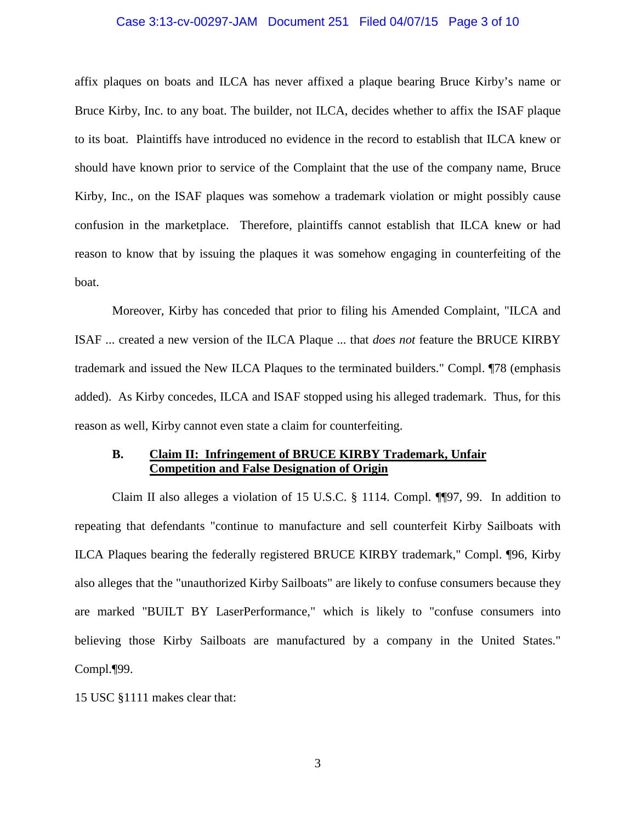#### Case 3:13-cv-00297-JAM Document 251 Filed 04/07/15 Page 3 of 10

affix plaques on boats and ILCA has never affixed a plaque bearing Bruce Kirby's name or Bruce Kirby, Inc. to any boat. The builder, not ILCA, decides whether to affix the ISAF plaque to its boat. Plaintiffs have introduced no evidence in the record to establish that ILCA knew or should have known prior to service of the Complaint that the use of the company name, Bruce Kirby, Inc., on the ISAF plaques was somehow a trademark violation or might possibly cause confusion in the marketplace. Therefore, plaintiffs cannot establish that ILCA knew or had reason to know that by issuing the plaques it was somehow engaging in counterfeiting of the boat.

Moreover, Kirby has conceded that prior to filing his Amended Complaint, "ILCA and ISAF ... created a new version of the ILCA Plaque ... that *does not* feature the BRUCE KIRBY trademark and issued the New ILCA Plaques to the terminated builders." Compl. ¶78 (emphasis added). As Kirby concedes, ILCA and ISAF stopped using his alleged trademark. Thus, for this reason as well, Kirby cannot even state a claim for counterfeiting.

## **B. Claim II: Infringement of BRUCE KIRBY Trademark, Unfair Competition and False Designation of Origin**

Claim II also alleges a violation of 15 U.S.C. § 1114. Compl. ¶¶97, 99. In addition to repeating that defendants "continue to manufacture and sell counterfeit Kirby Sailboats with ILCA Plaques bearing the federally registered BRUCE KIRBY trademark," Compl. ¶96, Kirby also alleges that the "unauthorized Kirby Sailboats" are likely to confuse consumers because they are marked "BUILT BY LaserPerformance," which is likely to "confuse consumers into believing those Kirby Sailboats are manufactured by a company in the United States." Compl.¶99.

15 USC §1111 makes clear that: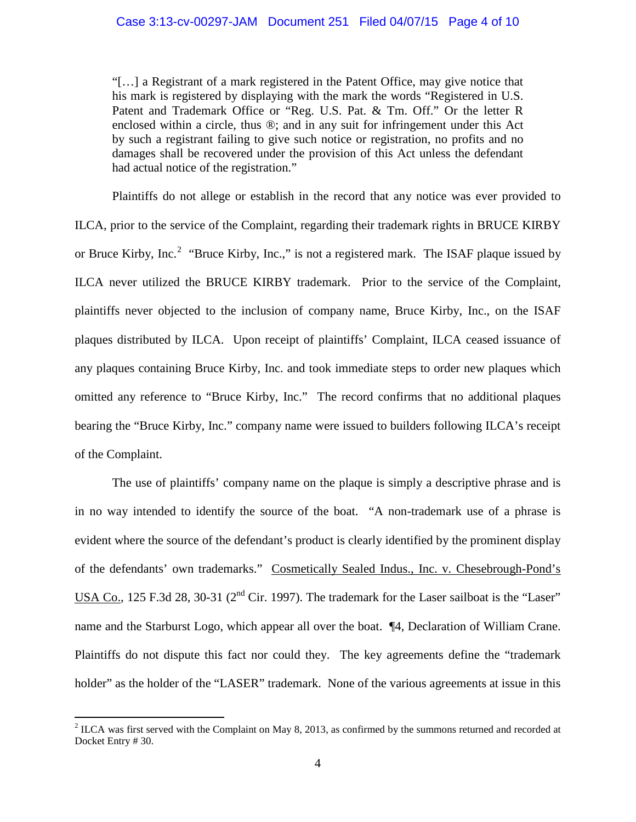"[…] a Registrant of a mark registered in the Patent Office, may give notice that his mark is registered by displaying with the mark the words "Registered in U.S. Patent and Trademark Office or "Reg. U.S. Pat. & Tm. Off." Or the letter R enclosed within a circle, thus ®; and in any suit for infringement under this Act by such a registrant failing to give such notice or registration, no profits and no damages shall be recovered under the provision of this Act unless the defendant had actual notice of the registration."

Plaintiffs do not allege or establish in the record that any notice was ever provided to ILCA, prior to the service of the Complaint, regarding their trademark rights in BRUCE KIRBY or Bruce Kirby, Inc.<sup>[2](#page-3-0)</sup> "Bruce Kirby, Inc.," is not a registered mark. The ISAF plaque issued by ILCA never utilized the BRUCE KIRBY trademark. Prior to the service of the Complaint, plaintiffs never objected to the inclusion of company name, Bruce Kirby, Inc., on the ISAF plaques distributed by ILCA. Upon receipt of plaintiffs' Complaint, ILCA ceased issuance of any plaques containing Bruce Kirby, Inc. and took immediate steps to order new plaques which omitted any reference to "Bruce Kirby, Inc." The record confirms that no additional plaques bearing the "Bruce Kirby, Inc." company name were issued to builders following ILCA's receipt of the Complaint.

The use of plaintiffs' company name on the plaque is simply a descriptive phrase and is in no way intended to identify the source of the boat. "A non-trademark use of a phrase is evident where the source of the defendant's product is clearly identified by the prominent display of the defendants' own trademarks." Cosmetically Sealed Indus., Inc. v. Chesebrough-Pond's USA Co., 125 F.3d 28, 30-31 (2<sup>nd</sup> Cir. 1997). The trademark for the Laser sailboat is the "Laser" name and the Starburst Logo, which appear all over the boat. ¶4, Declaration of William Crane. Plaintiffs do not dispute this fact nor could they. The key agreements define the "trademark holder" as the holder of the "LASER" trademark. None of the various agreements at issue in this

<span id="page-3-0"></span> $2$  ILCA was first served with the Complaint on May 8, 2013, as confirmed by the summons returned and recorded at Docket Entry # 30.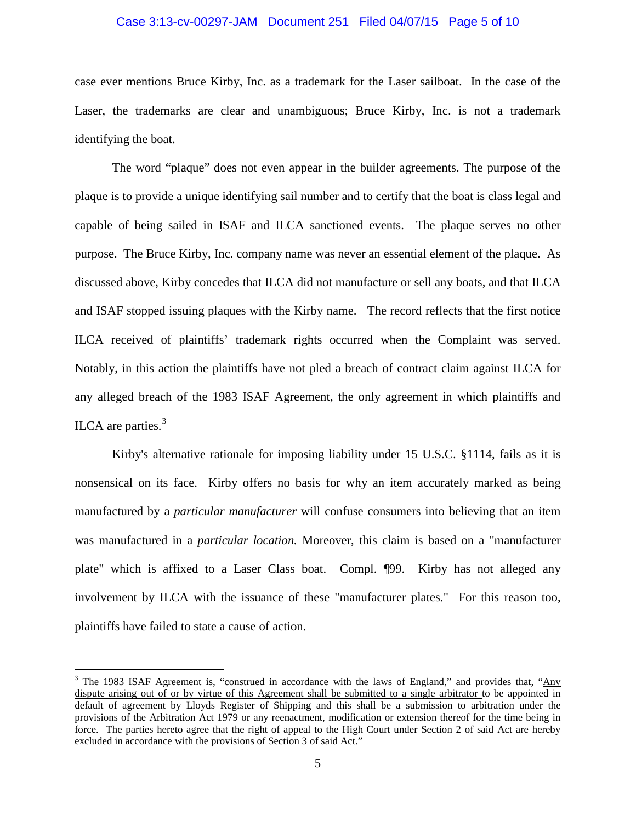#### Case 3:13-cv-00297-JAM Document 251 Filed 04/07/15 Page 5 of 10

case ever mentions Bruce Kirby, Inc. as a trademark for the Laser sailboat. In the case of the Laser, the trademarks are clear and unambiguous; Bruce Kirby, Inc. is not a trademark identifying the boat.

The word "plaque" does not even appear in the builder agreements. The purpose of the plaque is to provide a unique identifying sail number and to certify that the boat is class legal and capable of being sailed in ISAF and ILCA sanctioned events. The plaque serves no other purpose. The Bruce Kirby, Inc. company name was never an essential element of the plaque. As discussed above, Kirby concedes that ILCA did not manufacture or sell any boats, and that ILCA and ISAF stopped issuing plaques with the Kirby name. The record reflects that the first notice ILCA received of plaintiffs' trademark rights occurred when the Complaint was served. Notably, in this action the plaintiffs have not pled a breach of contract claim against ILCA for any alleged breach of the 1983 ISAF Agreement, the only agreement in which plaintiffs and ILCA are parties.<sup>[3](#page-4-0)</sup>

Kirby's alternative rationale for imposing liability under 15 U.S.C. §1114, fails as it is nonsensical on its face. Kirby offers no basis for why an item accurately marked as being manufactured by a *particular manufacturer* will confuse consumers into believing that an item was manufactured in a *particular location.* Moreover, this claim is based on a "manufacturer plate" which is affixed to a Laser Class boat. Compl. ¶99. Kirby has not alleged any involvement by ILCA with the issuance of these "manufacturer plates." For this reason too, plaintiffs have failed to state a cause of action.

<span id="page-4-0"></span><sup>&</sup>lt;sup>3</sup> The 1983 ISAF Agreement is, "construed in accordance with the laws of England," and provides that, "Any dispute arising out of or by virtue of this Agreement shall be submitted to a single arbitrator to be appointed in default of agreement by Lloyds Register of Shipping and this shall be a submission to arbitration under the provisions of the Arbitration Act 1979 or any reenactment, modification or extension thereof for the time being in force. The parties hereto agree that the right of appeal to the High Court under Section 2 of said Act are hereby excluded in accordance with the provisions of Section 3 of said Act."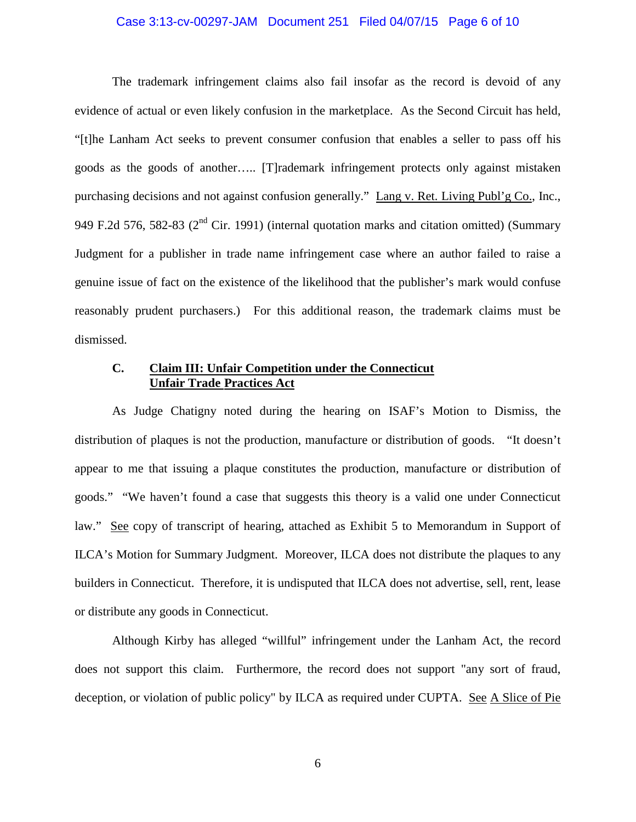#### Case 3:13-cv-00297-JAM Document 251 Filed 04/07/15 Page 6 of 10

The trademark infringement claims also fail insofar as the record is devoid of any evidence of actual or even likely confusion in the marketplace. As the Second Circuit has held, "[t]he Lanham Act seeks to prevent consumer confusion that enables a seller to pass off his goods as the goods of another….. [T]rademark infringement protects only against mistaken purchasing decisions and not against confusion generally." Lang v. Ret. Living Publ'g Co., Inc., 949 F.2d 576, 582-83 ( $2<sup>nd</sup>$  Cir. 1991) (internal quotation marks and citation omitted) (Summary Judgment for a publisher in trade name infringement case where an author failed to raise a genuine issue of fact on the existence of the likelihood that the publisher's mark would confuse reasonably prudent purchasers.) For this additional reason, the trademark claims must be dismissed.

## **C. Claim III: Unfair Competition under the Connecticut Unfair Trade Practices Act**

As Judge Chatigny noted during the hearing on ISAF's Motion to Dismiss, the distribution of plaques is not the production, manufacture or distribution of goods. "It doesn't appear to me that issuing a plaque constitutes the production, manufacture or distribution of goods." "We haven't found a case that suggests this theory is a valid one under Connecticut law." See copy of transcript of hearing, attached as Exhibit 5 to Memorandum in Support of ILCA's Motion for Summary Judgment. Moreover, ILCA does not distribute the plaques to any builders in Connecticut. Therefore, it is undisputed that ILCA does not advertise, sell, rent, lease or distribute any goods in Connecticut.

Although Kirby has alleged "willful" infringement under the Lanham Act, the record does not support this claim. Furthermore, the record does not support "any sort of fraud, deception, or violation of public policy" by ILCA as required under CUPTA. See A Slice of Pie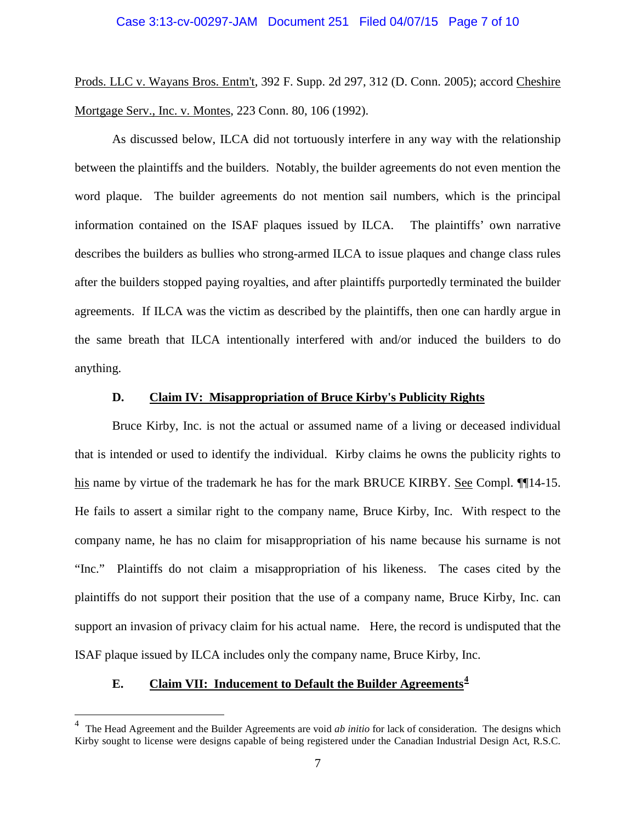Prods. LLC v. Wayans Bros. Entm't, 392 F. Supp. 2d 297, 312 (D. Conn. 2005); accord Cheshire Mortgage Serv., Inc. v. Montes, 223 Conn. 80, 106 (1992).

As discussed below, ILCA did not tortuously interfere in any way with the relationship between the plaintiffs and the builders. Notably, the builder agreements do not even mention the word plaque. The builder agreements do not mention sail numbers, which is the principal information contained on the ISAF plaques issued by ILCA. The plaintiffs' own narrative describes the builders as bullies who strong-armed ILCA to issue plaques and change class rules after the builders stopped paying royalties, and after plaintiffs purportedly terminated the builder agreements. If ILCA was the victim as described by the plaintiffs, then one can hardly argue in the same breath that ILCA intentionally interfered with and/or induced the builders to do anything.

#### **D. Claim IV: Misappropriation of Bruce Kirby's Publicity Rights**

Bruce Kirby, Inc. is not the actual or assumed name of a living or deceased individual that is intended or used to identify the individual. Kirby claims he owns the publicity rights to his name by virtue of the trademark he has for the mark BRUCE KIRBY. See Compl.  $\P$ [14-15. He fails to assert a similar right to the company name, Bruce Kirby, Inc. With respect to the company name, he has no claim for misappropriation of his name because his surname is not "Inc." Plaintiffs do not claim a misappropriation of his likeness. The cases cited by the plaintiffs do not support their position that the use of a company name, Bruce Kirby, Inc. can support an invasion of privacy claim for his actual name. Here, the record is undisputed that the ISAF plaque issued by ILCA includes only the company name, Bruce Kirby, Inc.

# **E. Claim VII: Inducement to Default the Builder Agreements[4](#page-6-0)**

<span id="page-6-0"></span> $\frac{1}{4}$  The Head Agreement and the Builder Agreements are void *ab initio* for lack of consideration. The designs which Kirby sought to license were designs capable of being registered under the Canadian Industrial Design Act, R.S.C.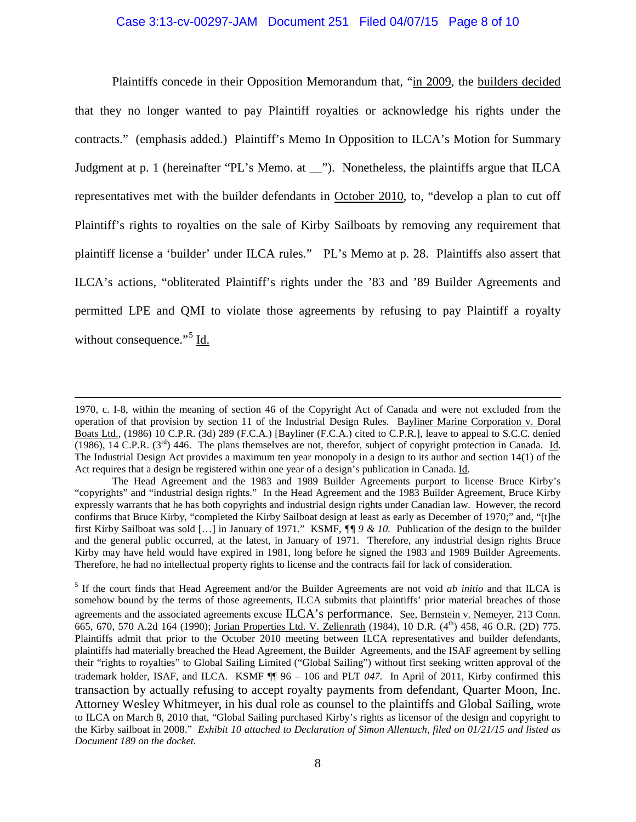### Case 3:13-cv-00297-JAM Document 251 Filed 04/07/15 Page 8 of 10

Plaintiffs concede in their Opposition Memorandum that, "in 2009, the builders decided that they no longer wanted to pay Plaintiff royalties or acknowledge his rights under the contracts." (emphasis added.) Plaintiff's Memo In Opposition to ILCA's Motion for Summary Judgment at p. 1 (hereinafter "PL's Memo. at \_\_"). Nonetheless, the plaintiffs argue that ILCA representatives met with the builder defendants in October 2010, to, "develop a plan to cut off Plaintiff's rights to royalties on the sale of Kirby Sailboats by removing any requirement that plaintiff license a 'builder' under ILCA rules." PL's Memo at p. 28. Plaintiffs also assert that ILCA's actions, "obliterated Plaintiff's rights under the '83 and '89 Builder Agreements and permitted LPE and QMI to violate those agreements by refusing to pay Plaintiff a royalty without consequence."<sup>[5](#page-7-0)</sup> Id.

 $\overline{a}$ 

<sup>1970,</sup> c. I-8, within the meaning of section 46 of the Copyright Act of Canada and were not excluded from the operation of that provision by section 11 of the Industrial Design Rules. Bayliner Marine Corporation v. Doral Boats Ltd., (1986) 10 C.P.R. (3d) 289 (F.C.A.) [Bayliner (F.C.A.) cited to C.P.R.], leave to appeal to S.C.C. denied  $(1986)$ , 14 C.P.R. (3<sup>rd</sup>) 446. The plans themselves are not, therefor, subject of copyright protection in Canada. Id. The Industrial Design Act provides a maximum ten year monopoly in a design to its author and section 14(1) of the Act requires that a design be registered within one year of a design's publication in Canada. Id.

The Head Agreement and the 1983 and 1989 Builder Agreements purport to license Bruce Kirby's "copyrights" and "industrial design rights." In the Head Agreement and the 1983 Builder Agreement, Bruce Kirby expressly warrants that he has both copyrights and industrial design rights under Canadian law. However, the record confirms that Bruce Kirby, "completed the Kirby Sailboat design at least as early as December of 1970;" and, "[t]he first Kirby Sailboat was sold […] in January of 1971." KSMF, *¶¶ 9 & 10.* Publication of the design to the builder and the general public occurred, at the latest, in January of 1971. Therefore, any industrial design rights Bruce Kirby may have held would have expired in 1981, long before he signed the 1983 and 1989 Builder Agreements. Therefore, he had no intellectual property rights to license and the contracts fail for lack of consideration.

<span id="page-7-0"></span><sup>5</sup> If the court finds that Head Agreement and/or the Builder Agreements are not void *ab initio* and that ILCA is somehow bound by the terms of those agreements, ILCA submits that plaintiffs' prior material breaches of those agreements and the associated agreements excuse ILCA's performance. See, Bernstein v. Nemeyer, 213 Conn. 665, 670, 570 A.2d 164 (1990); Jorian Properties Ltd. V. Zellenrath (1984), 10 D.R. (4<sup>th</sup>) 458, 46 O.R. (2D) 775. Plaintiffs admit that prior to the October 2010 meeting between ILCA representatives and builder defendants, plaintiffs had materially breached the Head Agreement, the Builder Agreements, and the ISAF agreement by selling their "rights to royalties" to Global Sailing Limited ("Global Sailing") without first seeking written approval of the trademark holder, ISAF, and ILCA. KSMF ¶¶ 96 – 106 and PLT *047.* In April of 2011, Kirby confirmed this transaction by actually refusing to accept royalty payments from defendant, Quarter Moon, Inc. Attorney Wesley Whitmeyer, in his dual role as counsel to the plaintiffs and Global Sailing, wrote to ILCA on March 8, 2010 that, "Global Sailing purchased Kirby's rights as licensor of the design and copyright to the Kirby sailboat in 2008." *Exhibit 10 attached to Declaration of Simon Allentuch, filed on 01/21/15 and listed as Document 189 on the docket.*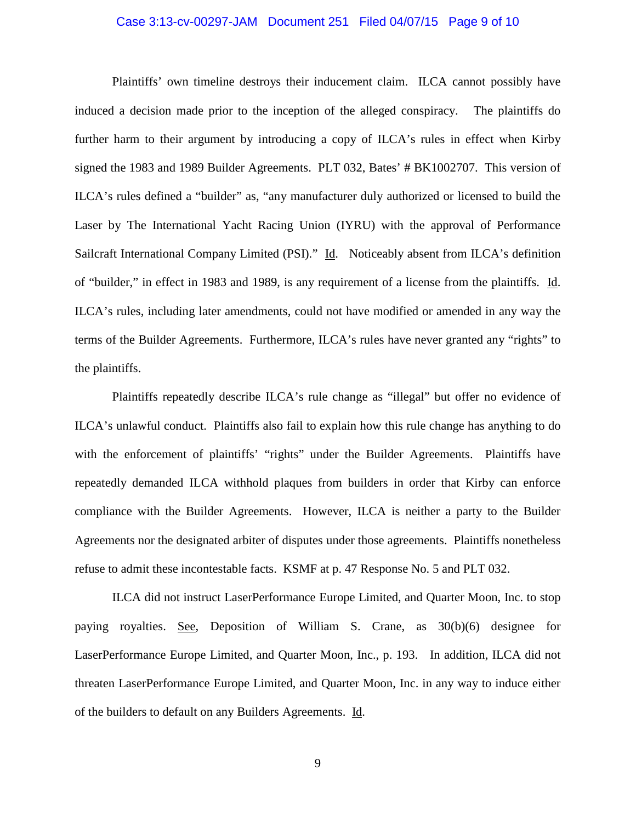#### Case 3:13-cv-00297-JAM Document 251 Filed 04/07/15 Page 9 of 10

Plaintiffs' own timeline destroys their inducement claim. ILCA cannot possibly have induced a decision made prior to the inception of the alleged conspiracy. The plaintiffs do further harm to their argument by introducing a copy of ILCA's rules in effect when Kirby signed the 1983 and 1989 Builder Agreements. PLT 032, Bates' # BK1002707. This version of ILCA's rules defined a "builder" as, "any manufacturer duly authorized or licensed to build the Laser by The International Yacht Racing Union (IYRU) with the approval of Performance Sailcraft International Company Limited (PSI)." Id. Noticeably absent from ILCA's definition of "builder," in effect in 1983 and 1989, is any requirement of a license from the plaintiffs. Id. ILCA's rules, including later amendments, could not have modified or amended in any way the terms of the Builder Agreements. Furthermore, ILCA's rules have never granted any "rights" to the plaintiffs.

Plaintiffs repeatedly describe ILCA's rule change as "illegal" but offer no evidence of ILCA's unlawful conduct. Plaintiffs also fail to explain how this rule change has anything to do with the enforcement of plaintiffs' "rights" under the Builder Agreements. Plaintiffs have repeatedly demanded ILCA withhold plaques from builders in order that Kirby can enforce compliance with the Builder Agreements. However, ILCA is neither a party to the Builder Agreements nor the designated arbiter of disputes under those agreements. Plaintiffs nonetheless refuse to admit these incontestable facts. KSMF at p. 47 Response No. 5 and PLT 032.

ILCA did not instruct LaserPerformance Europe Limited, and Quarter Moon, Inc. to stop paying royalties. See, Deposition of William S. Crane, as 30(b)(6) designee for LaserPerformance Europe Limited, and Quarter Moon, Inc., p. 193. In addition, ILCA did not threaten LaserPerformance Europe Limited, and Quarter Moon, Inc. in any way to induce either of the builders to default on any Builders Agreements. Id.

9